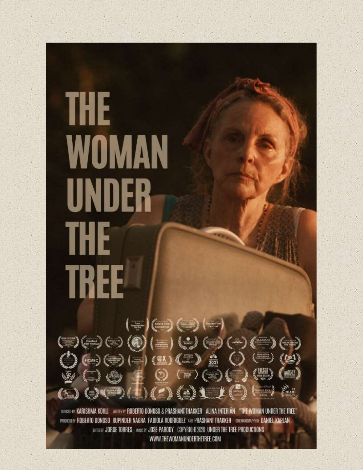# **THE WOMAN** UNDER **THE TREE**  $($  =  $)($  (cm)  $($   $=$   $)($   $)$   $($   $=$   $)$  $(2)$  (2)  $1$   $2$  $\bigodot$  (see) DIRICIO BY KARISHMA KOHLI WEITENEY ROBERTO DONOSO & PRASHANT THAKKER ALINA INTERIAN "THE WOMAN UNDER THE TREE" PROUGE BY ROBERTO DONOSO RUPINDER NAGRA FABIOLA RODRIGUEZ AND PRASHANT THAKKER CINEMADORANY BY DANIEL KAPLAN BOTTER JORGE TORRES MUSICAN JOSE PARODY COPYRIGHT 2020 UNDER THE TREE PRODUCTIONS WWW.THEWOMANUNDERTHETREE.COM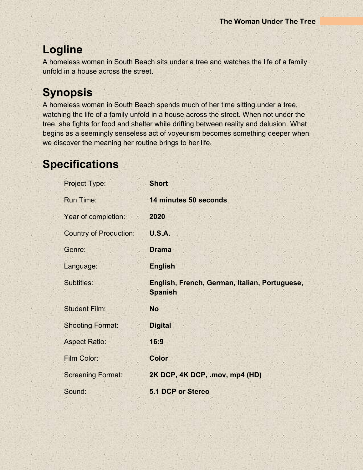# **Logline**

A homeless woman in South Beach sits under a tree and watches the life of a family unfold in a house across the street.

# **Synopsis**

A homeless woman in South Beach spends much of her time sitting under a tree, watching the life of a family unfold in a house across the street. When not under the tree, she fights for food and shelter while drifting between reality and delusion. What begins as a seemingly senseless act of voyeurism becomes something deeper when we discover the meaning her routine brings to her life.

# **Specifications**

| Project Type:                 | <b>Short</b>                                                    |
|-------------------------------|-----------------------------------------------------------------|
| <b>Run Time:</b>              | 14 minutes 50 seconds                                           |
| Year of completion:           | 2020                                                            |
| <b>Country of Production:</b> | <b>U.S.A.</b>                                                   |
| Genre:                        | <b>Drama</b>                                                    |
| Language:                     | <b>English</b>                                                  |
| Subtitles:                    | English, French, German, Italian, Portuguese,<br><b>Spanish</b> |
| <b>Student Film:</b>          | <b>No</b>                                                       |
| <b>Shooting Format:</b>       | <b>Digital</b>                                                  |
| <b>Aspect Ratio:</b>          | 16:9                                                            |
| Film Color:                   | <b>Color</b>                                                    |
| <b>Screening Format:</b>      | 2K DCP, 4K DCP, .mov, mp4 (HD)                                  |
| Sound:                        | <b>5.1 DCP or Stereo</b>                                        |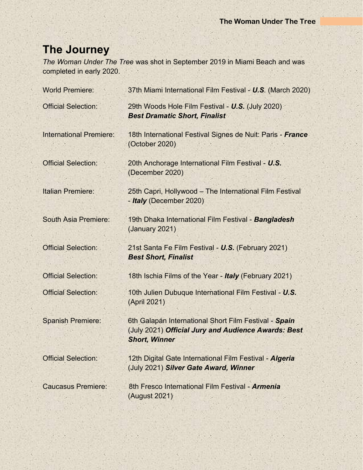# **The Journey**

*The Woman Under The Tree* was shot in September 2019 in Miami Beach and was completed in early 2020.

| <b>World Premiere:</b>         | 37th Miami International Film Festival - U.S. (March 2020)                                                                           |
|--------------------------------|--------------------------------------------------------------------------------------------------------------------------------------|
| <b>Official Selection:</b>     | 29th Woods Hole Film Festival - U.S. (July 2020)<br><b>Best Dramatic Short, Finalist</b>                                             |
| <b>International Premiere:</b> | 18th International Festival Signes de Nuit: Paris - France<br>(October 2020)                                                         |
| <b>Official Selection:</b>     | 20th Anchorage International Film Festival - U.S.<br>(December 2020)                                                                 |
| <b>Italian Premiere:</b>       | 25th Capri, Hollywood - The International Film Festival<br>- Italy (December 2020)                                                   |
| South Asia Premiere:           | 19th Dhaka International Film Festival - Bangladesh<br>(January 2021)                                                                |
| <b>Official Selection:</b>     | 21st Santa Fe Film Festival - U.S. (February 2021)<br><b>Best Short, Finalist</b>                                                    |
| <b>Official Selection:</b>     | 18th Ischia Films of the Year - Italy (February 2021)                                                                                |
| <b>Official Selection:</b>     | 10th Julien Dubuque International Film Festival - U.S.<br>(April 2021)                                                               |
| <b>Spanish Premiere:</b>       | 6th Galapán International Short Film Festival - Spain<br>(July 2021) Official Jury and Audience Awards: Best<br><b>Short, Winner</b> |
| <b>Official Selection:</b>     | 12th Digital Gate International Film Festival - Algeria<br>(July 2021) Silver Gate Award, Winner                                     |
| <b>Caucasus Premiere:</b>      | 8th Fresco International Film Festival - Armenia<br>(August 2021)                                                                    |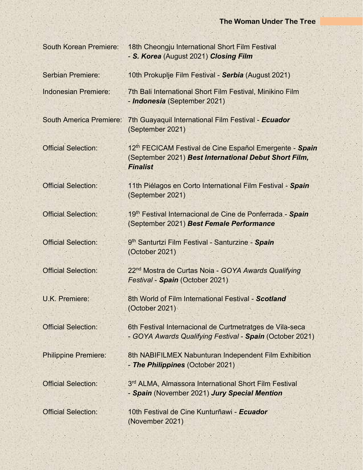| <b>South Korean Premiere:</b>  | 18th Cheongju International Short Film Festival<br>- S. Korea (August 2021) Closing Film                                                        |
|--------------------------------|-------------------------------------------------------------------------------------------------------------------------------------------------|
| Serbian Premiere:              | 10th Prokuplje Film Festival - Serbia (August 2021)                                                                                             |
| Indonesian Premiere:           | 7th Bali International Short Film Festival, Minikino Film<br>- Indonesia (September 2021)                                                       |
| <b>South America Premiere:</b> | 7th Guayaquil International Film Festival - Ecuador<br>(September 2021)                                                                         |
| <b>Official Selection:</b>     | 12 <sup>th</sup> FECICAM Festival de Cine Español Emergente - Spain<br>(September 2021) Best International Debut Short Film,<br><b>Finalist</b> |
| <b>Official Selection:</b>     | 11th Piélagos en Corto International Film Festival - Spain<br>(September 2021)                                                                  |
| <b>Official Selection:</b>     | 19th Festival Internacional de Cine de Ponferrada - Spain<br>(September 2021) Best Female Performance                                           |
| <b>Official Selection:</b>     | 9th Santurtzi Film Festival - Santurzine - Spain<br>(October 2021)                                                                              |
| <b>Official Selection:</b>     | 22 <sup>nd</sup> Mostra de Curtas Noia - GOYA Awards Qualifying<br>Festival - Spain (October 2021)                                              |
| <b>U.K. Premiere:</b>          | 8th World of Film International Festival - Scotland<br>(October 2021)                                                                           |
| <b>Official Selection:</b>     | 6th Festival Internacional de Curtmetratges de Vila-seca<br>- GOYA Awards Qualifying Festival - Spain (October 2021)                            |
| <b>Philippine Premiere:</b>    | 8th NABIFILMEX Nabunturan Independent Film Exhibition<br>- The Philippines (October 2021)                                                       |
| <b>Official Selection:</b>     | 3 <sup>rd</sup> ALMA, Almassora International Short Film Festival<br>- Spain (November 2021) Jury Special Mention                               |
| <b>Official Selection:</b>     | 10th Festival de Cine Kunturñawi - Ecuador<br>(November 2021)                                                                                   |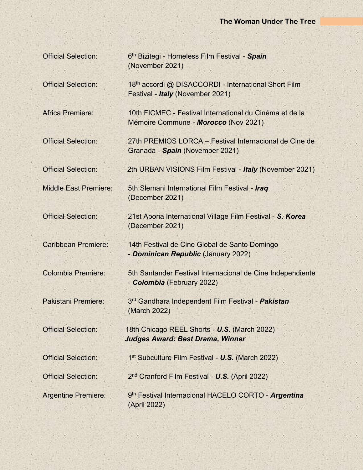Official Selection: 6

th Bizitegi - Homeless Film Festival - *Spain* (November 2021)

Pakistani Premiere:

Official Selection: 1

Official Selection: 2

Argentine Premiere:

Official Selection: 18<sup>th</sup> accordi @ DISACCORDI - International Short Film Festival - *Italy* (November 2021)

Africa Premiere: 10th FICMEC - Festival International du Cinéma et de la Mémoire Commune - *Morocco* (Nov 2021)

Official Selection: 27th PREMIOS LORCA – Festival Internacional de Cine de Granada - *Spain* (November 2021)

Official Selection: 2th URBAN VISIONS Film Festival - *Italy* (November 2021)

Middle East Premiere: 5th Slemani International Film Festival - *Iraq* (December 2021)

Official Selection: 21st Aporia International Village Film Festival - *S. Korea* (December 2021)

Caribbean Premiere: 14th Festival de Cine Global de Santo Domingo - *Dominican Republic* (January 2022)

Colombia Premiere: 5th Santander Festival Internacional de Cine Independiente - *Colombia* (February 2022)

> 3<sup>rd</sup> Gandhara Independent Film Festival - **Pakistan** (March 2022)

Official Selection: 18th Chicago REEL Shorts - *U.S.* (March 2022)  *Judges Award: Best Drama, Winner*

1<sup>st</sup> Subculture Film Festival - U.S. (March 2022)

2<sup>nd</sup> Cranford Film Festival - U.S. (April 2022)

9<sup>th</sup> Festival Internacional HACELO CORTO - **Argentina** (April 2022)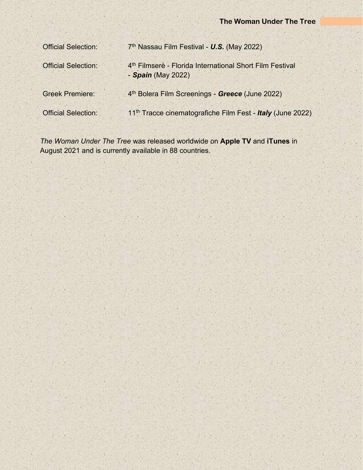| <b>Official Selection:</b> | 7th Nassau Film Festival - U.S. (May 2022)                                                 |
|----------------------------|--------------------------------------------------------------------------------------------|
| <b>Official Selection:</b> | 4 <sup>th</sup> Filmserè - Florida International Short Film Festival<br>- Spain (May 2022) |
| <b>Greek Premiere:</b>     | 4 <sup>th</sup> Bolera Film Screenings - Greece (June 2022)                                |
| <b>Official Selection:</b> | 11 <sup>th</sup> Tracce cinematografiche Film Fest - Italy (June 2022)                     |
|                            |                                                                                            |

*The Woman Under The Tree* was released worldwide on **Apple TV** and **iTunes** in August 2021 and is currently available in 88 countries.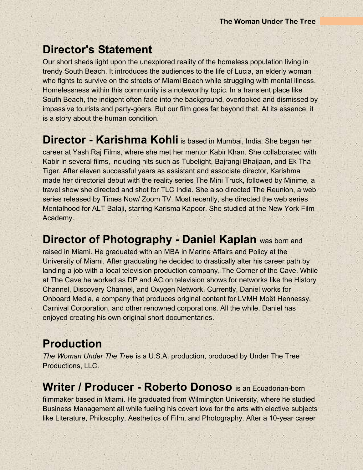## **Director's Statement**

Our short sheds light upon the unexplored reality of the homeless population living in trendy South Beach. It introduces the audiences to the life of Lucia, an elderly woman who fights to survive on the streets of Miami Beach while struggling with mental illness. Homelessness within this community is a noteworthy topic. In a transient place like South Beach, the indigent often fade into the background, overlooked and dismissed by impassive tourists and party-goers. But our film goes far beyond that. At its essence, it is a story about the human condition.

**Director - Karishma Kohli** is based in Mumbai, India. She began her career at Yash Raj Films, where she met her mentor Kabir Khan. She collaborated with Kabir in several films, including hits such as Tubelight, Bajrangi Bhaijaan, and Ek Tha Tiger. After eleven successful years as assistant and associate director, Karishma made her directorial debut with the reality series The Mini Truck, followed by Minime, a travel show she directed and shot for TLC India. She also directed The Reunion, a web series released by Times Now/ Zoom TV. Most recently, she directed the web series Mentalhood for ALT Balaji, starring Karisma Kapoor. She studied at the New York Film Academy.

**Director of Photography - Daniel Kaplan** was born and

raised in Miami. He graduated with an MBA in Marine Affairs and Policy at the University of Miami. After graduating he decided to drastically alter his career path by landing a job with a local television production company, The Corner of the Cave. While at The Cave he worked as DP and AC on television shows for networks like the History Channel, Discovery Channel, and Oxygen Network. Currently, Daniel works for Onboard Media, a company that produces original content for LVMH Moët Hennessy, Carnival Corporation, and other renowned corporations. All the while, Daniel has enjoyed creating his own original short documentaries.

## **Production**

*The Woman Under The Tree* is a U.S.A. production, produced by Under The Tree Productions, LLC.

## **Writer / Producer - Roberto Donoso** is an Ecuadorian-born

filmmaker based in Miami. He graduated from Wilmington University, where he studied Business Management all while fueling his covert love for the arts with elective subjects like Literature, Philosophy, Aesthetics of Film, and Photography. After a 10-year career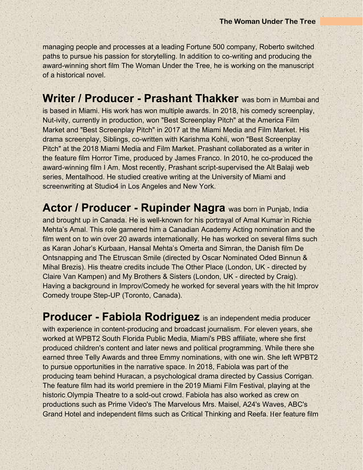managing people and processes at a leading Fortune 500 company, Roberto switched paths to pursue his passion for storytelling. In addition to co-writing and producing the award-winning short film The Woman Under the Tree, he is working on the manuscript of a historical novel.

**Writer / Producer - Prashant Thakker** was born in Mumbai and is based in Miami. His work has won multiple awards. In 2018, his comedy screenplay, Nut-ivity, currently in production, won "Best Screenplay Pitch" at the America Film Market and "Best Screenplay Pitch" in 2017 at the Miami Media and Film Market. His drama screenplay, Siblings, co-written with Karishma Kohli, won "Best Screenplay Pitch" at the 2018 Miami Media and Film Market. Prashant collaborated as a writer in the feature film Horror Time, produced by James Franco. In 2010, he co-produced the award-winning film I Am. Most recently, Prashant script-supervised the Alt Balaji web series, Mentalhood. He studied creative writing at the University of Miami and screenwriting at Studio4 in Los Angeles and New York.

**Actor / Producer - Rupinder Nagra** was born in Punjab, India and brought up in Canada. He is well-known for his portrayal of Amal Kumar in Richie Mehta's Amal. This role garnered him a Canadian Academy Acting nomination and the film went on to win over 20 awards internationally. He has worked on several films such as Karan Johar's Kurbaan, Hansal Mehta's Omerta and Simran, the Danish film De Ontsnapping and The Etruscan Smile (directed by Oscar Nominated Oded Binnun & Mihal Brezis). His theatre credits include The Other Place (London, UK - directed by Claire Van Kampen) and My Brothers & Sisters (London, UK - directed by Craig). Having a background in Improv/Comedy he worked for several years with the hit Improv Comedy troupe Step-UP (Toronto, Canada).

**Producer - Fabiola Rodriguez** is an independent media producer with experience in content-producing and broadcast journalism. For eleven years, she worked at WPBT2 South Florida Public Media, Miami's PBS affiliate, where she first produced children's content and later news and political programming. While there she earned three Telly Awards and three Emmy nominations, with one win. She left WPBT2 to pursue opportunities in the narrative space. In 2018, Fabiola was part of the producing team behind Huracan, a psychological drama directed by Cassius Corrigan. The feature film had its world premiere in the 2019 Miami Film Festival, playing at the historic Olympia Theatre to a sold-out crowd. Fabiola has also worked as crew on productions such as Prime Video's The Marvelous Mrs. Maisel, A24's Waves, ABC's Grand Hotel and independent films such as Critical Thinking and Reefa. Her feature film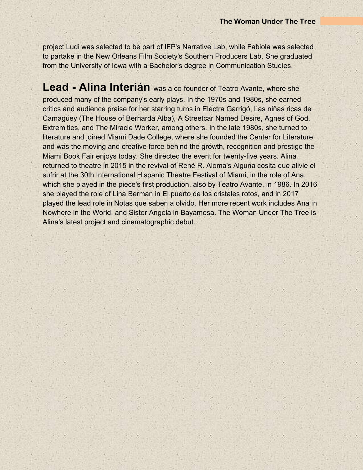project Ludi was selected to be part of IFP's Narrative Lab, while Fabiola was selected to partake in the New Orleans Film Society's Southern Producers Lab. She graduated from the University of Iowa with a Bachelor's degree in Communication Studies.

**Lead - Alina Interián** was a co-founder of Teatro Avante, where she produced many of the company's early plays. In the 1970s and 1980s, she earned critics and audience praise for her starring turns in Electra Garrigó, Las niñas ricas de Camagüey (The House of Bernarda Alba), A Streetcar Named Desire, Agnes of God, Extremities, and The Miracle Worker, among others. In the late 1980s, she turned to literature and joined Miami Dade College, where she founded the Center for Literature and was the moving and creative force behind the growth, recognition and prestige the Miami Book Fair enjoys today. She directed the event for twenty-five years. Alina returned to theatre in 2015 in the revival of René R. Aloma's Alguna cosita que alivie el sufrir at the 30th International Hispanic Theatre Festival of Miami, in the role of Ana, which she played in the piece's first production, also by Teatro Avante, in 1986. In 2016 she played the role of Lina Berman in El puerto de los cristales rotos, and in 2017 played the lead role in Notas que saben a olvido. Her more recent work includes Ana in Nowhere in the World, and Sister Angela in Bayamesa. The Woman Under The Tree is Alina's latest project and cinematographic debut.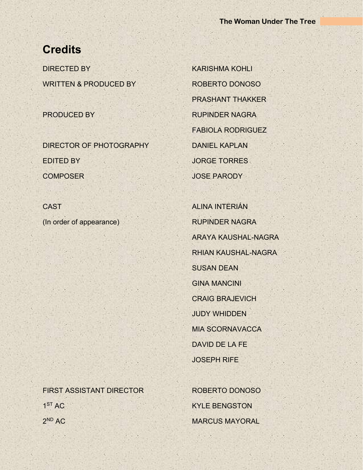## **Credits**

DIRECTED BY KARISHMA KOHLI WRITTEN & PRODUCED BY ROBERTO DONOSO

DIRECTOR OF PHOTOGRAPHY DANIEL KAPLAN EDITED BY **JORGE TORRES** COMPOSER JOSE PARODY

CAST ALINA INTERIÁN (In order of appearance) RUPINDER NAGRA

PRASHANT THAKKER PRODUCED BY RUPINDER NAGRA FABIOLA RODRIGUEZ

> ARAYA KAUSHAL-NAGRA RHIAN KAUSHAL-NAGRA SUSAN DEAN GINA MANCINI CRAIG BRAJEVICH JUDY WHIDDEN MIA SCORNAVACCA DAVID DE LA FE JOSEPH RIFE

FIRST ASSISTANT DIRECTOR ROBERTO DONOSO  $1<sup>ST</sup> AC$  $2<sup>ND</sup> AC$ 

**KYLE BENGSTON MARCUS MAYORAL**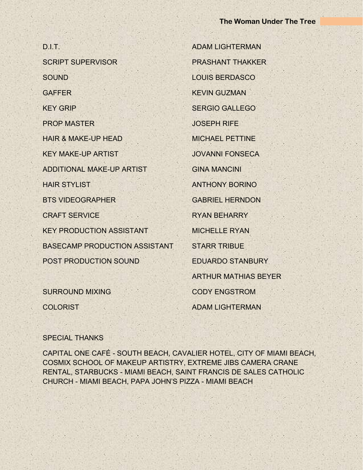D.I.T. ADAM LIGHTERMAN SCRIPT SUPERVISOR PRASHANT THAKKER SOUND LOUIS BERDASCO **GAFFER KEVIN GUZMAN** KEY GRIP NEWS SERGIO GALLEGO PROP MASTER JOSEPH RIFE HAIR & MAKE-UP HEAD MICHAEL PETTINE KEY MAKE-UP ARTIST JOVANNI FONSECA ADDITIONAL MAKE-UP ARTIST GINA MANCINI HAIR STYLIST ANTHONY BORINO BTS VIDEOGRAPHER GABRIEL HERNDON CRAFT SERVICE RYAN BEHARRY KEY PRODUCTION ASSISTANT MICHELLE RYAN BASECAMP PRODUCTION ASSISTANT STARR TRIBUE POST PRODUCTION SOUND EDUARDO STANBURY

SURROUND MIXING CODY ENGSTROM

ARTHUR MATHIAS BEYER COLORIST ADAM LIGHTERMAN

#### SPECIAL THANKS

CAPITAL ONE CAFÉ - SOUTH BEACH, CAVALIER HOTEL, CITY OF MIAMI BEACH, COSMIX SCHOOL OF MAKEUP ARTISTRY, EXTREME JIBS CAMERA CRANE RENTAL, STARBUCKS - MIAMI BEACH, SAINT FRANCIS DE SALES CATHOLIC CHURCH - MIAMI BEACH, PAPA JOHN'S PIZZA - MIAMI BEACH